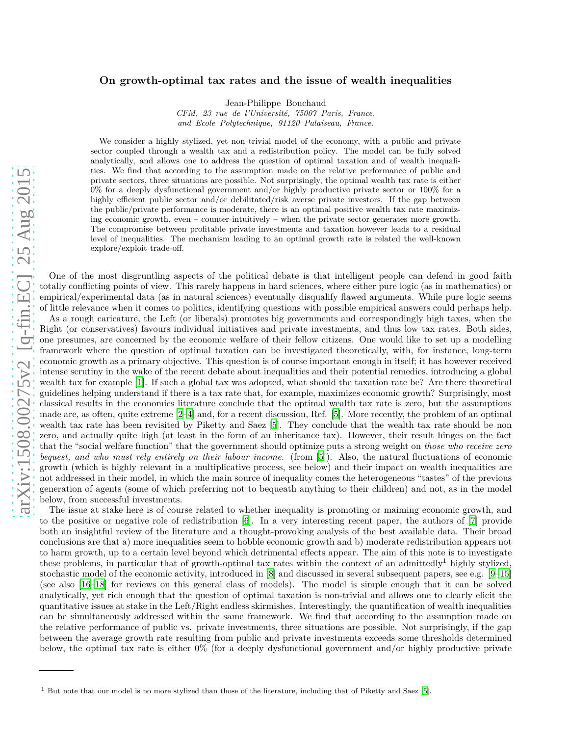## **On growth-optimal tax rates and the issue of wealth inequalities**

Jean-Philippe Bouchaud

*CFM, 23 rue de l'Université, 75007 Paris, France, and Ecole Polytechnique, 91120 Palaiseau, France.*

We consider a highly stylized, yet non trivial model of the economy, with a public and private sector coupled through a wealth tax and a redistribution policy. The model can be fully solved analytically, and allows one to address the question of optimal taxation and of wealth inequalities. We find that according to the assumption made on the relative performance of public and private sectors, three situations are possible. Not surprisingly, the optimal wealth tax rate is either 0% for a deeply dysfunctional government and/or highly productive private sector or 100% for a highly efficient public sector and/or debilitated/risk averse private investors. If the gap between the public/private performance is moderate, there is an optimal positive wealth tax rate maximizing economic growth, even – counter-intuitively – when the private sector generates more growth. The compromise between profitable private investments and taxation however leads to a residual level of inequalities. The mechanism leading to an optimal growth rate is related the well-known explore/exploit trade-off.

One of the most disgruntling aspects of the political debate is that intelligent people can defend in good faith totally conflicting points of view. This rarely happens in hard sciences, where either pure logic (as in mathematics) or empirical/experimental data (as in natural sciences) eventually disqualify flawed arguments. While pure logic seems of little relevance when it comes to politics, identifying questions with possible empirical answers could perhaps help. As a rough caricature, the Left (or liberals) promotes big governments and correspondingly high taxes, when the Right (or conservatives) favours individual initiatives and private investments, and thus low tax rates. Both sides, one presumes, are concerned by the economic welfare of their fellow citizens. One would like to set up a modelling framework where the question of optimal taxation can be investigated theoretically, with, for instance, long-term economic growth as a primary objective. This question is of course important enough in itself; it has however received intense scrutiny in the wake of the recent debate about inequalities and their potential remedies, introducing a global wealth tax for example [\[1](#page-7-0)]. If such a global tax was adopted, what should the taxation rate be? Are there theoretical guidelines helping understand if there is a tax rate that, for example, maximizes economic growth? Surprisingly, most classical results in the economics literature conclude that the optimal wealth tax rate is zero, but the assumptions made are, as often, quite extreme [\[2](#page-7-1)[–4\]](#page-7-2) and, for a recent discussion, Ref. [\[5](#page-7-3)]. More recently, the problem of an optimal wealth tax rate has been revisited by Piketty and Saez [\[5\]](#page-7-3). They conclude that the wealth tax rate should be non zero, and actually quite high (at least in the form of an inheritance tax). However, their result hinges on the fact that the "social welfare function" that the government should optimize puts a strong weight on *those who receive zero bequest, and who must rely entirely on their labour income.* (from [\[5](#page-7-3)]). Also, the natural fluctuations of economic growth (which is highly relevant in a multiplicative process, see below) and their impact on wealth inequalities are not addressed in their model, in which the main source of inequality comes the heterogeneous "tastes" of the previous generation of agents (some of which preferring not to bequeath anything to their children) and not, as in the model below, from successful investments.

The issue at stake here is of course related to whether inequality is promoting or maiming economic growth, and to the positive or negative role of redistribution [\[6\]](#page-7-4). In a very interesting recent paper, the authors of [\[7\]](#page-7-5) provide both an insightful review of the literature and a thought-provoking analysis of the best available data. Their broad conclusions are that a) more inequalities seem to hobble economic growth and b) moderate redistribution appears not to harm growth, up to a certain level beyond which detrimental effects appear. The aim of this note is to investigate these problems, in particular that of growth-optimal tax rates within the context of an admittedly<sup>1</sup> highly stylized, stochastic model of the economic activity, introduced in [\[8](#page-7-6)] and discussed in several subsequent papers, see e.g. [\[9](#page-7-7)[–15](#page-7-8)] (see also [\[16](#page-7-9)[–18\]](#page-7-10) for reviews on this general class of models). The model is simple enough that it can be solved analytically, yet rich enough that the question of optimal taxation is non-trivial and allows one to clearly elicit the quantitative issues at stake in the Left/Right endless skirmishes. Interestingly, the quantification of wealth inequalities can be simultaneously addressed within the same framework. We find that according to the assumption made on the relative performance of public vs. private investments, three situations are possible. Not surprisingly, if the gap between the average growth rate resulting from public and private investments exceeds some thresholds determined below, the optimal tax rate is either 0% (for a deeply dysfunctional government and/or highly productive private

<sup>&</sup>lt;sup>1</sup> But note that our model is no more stylized than those of the literature, including that of Piketty and Saez [\[5\]](#page-7-3).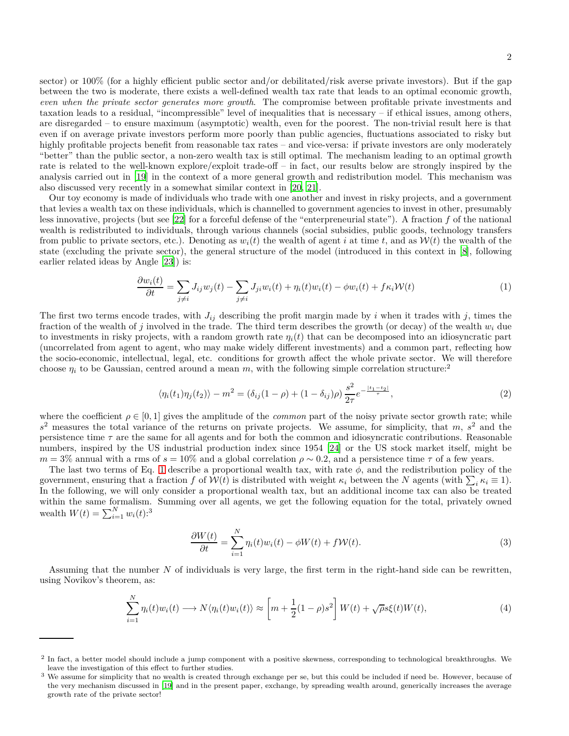sector) or 100% (for a highly efficient public sector and/or debilitated/risk averse private investors). But if the gap between the two is moderate, there exists a well-defined wealth tax rate that leads to an optimal economic growth, *even when the private sector generates more growth*. The compromise between profitable private investments and taxation leads to a residual, "incompressible" level of inequalities that is necessary – if ethical issues, among others, are disregarded – to ensure maximum (asymptotic) wealth, even for the poorest. The non-trivial result here is that even if on average private investors perform more poorly than public agencies, fluctuations associated to risky but highly profitable projects benefit from reasonable tax rates – and vice-versa: if private investors are only moderately "better" than the public sector, a non-zero wealth tax is still optimal. The mechanism leading to an optimal growth rate is related to the well-known explore/exploit trade-off – in fact, our results below are strongly inspired by the analysis carried out in [\[19\]](#page-7-11) in the context of a more general growth and redistribution model. This mechanism was also discussed very recently in a somewhat similar context in [\[20,](#page-7-12) [21\]](#page-7-13).

Our toy economy is made of individuals who trade with one another and invest in risky projects, and a government that levies a wealth tax on these individuals, which is channelled to government agencies to invest in other, presumably less innovative, projects (but see [\[22\]](#page-7-14) for a forceful defense of the "enterpreneurial state"). A fraction *f* of the national wealth is redistributed to individuals, through various channels (social subsidies, public goods, technology transfers from public to private sectors, etc.). Denoting as  $w_i(t)$  the wealth of agent *i* at time *t*, and as  $W(t)$  the wealth of the state (excluding the private sector), the general structure of the model (introduced in this context in [\[8\]](#page-7-6), following earlier related ideas by Angle [\[23](#page-7-15)]) is:

<span id="page-1-0"></span>
$$
\frac{\partial w_i(t)}{\partial t} = \sum_{j \neq i} J_{ij} w_j(t) - \sum_{j \neq i} J_{ji} w_i(t) + \eta_i(t) w_i(t) - \phi w_i(t) + f \kappa_i \mathcal{W}(t) \tag{1}
$$

The first two terms encode trades, with  $J_{ij}$  describing the profit margin made by *i* when it trades with *j*, times the fraction of the wealth of *j* involved in the trade. The third term describes the growth (or decay) of the wealth *w<sup>i</sup>* due to investments in risky projects, with a random growth rate  $\eta_i(t)$  that can be decomposed into an idiosyncratic part (uncorrelated from agent to agent, who may make widely different investments) and a common part, reflecting how the socio-economic, intellectual, legal, etc. conditions for growth affect the whole private sector. We will therefore choose  $\eta_i$  to be Gaussian, centred around a mean *m*, with the following simple correlation structure:<sup>2</sup>

$$
\langle \eta_i(t_1)\eta_j(t_2) \rangle - m^2 = (\delta_{ij}(1-\rho) + (1-\delta_{ij})\rho) \frac{s^2}{2\tau} e^{-\frac{|t_1 - t_2|}{\tau}}, \tag{2}
$$

where the coefficient  $\rho \in [0, 1]$  gives the amplitude of the *common* part of the noisy private sector growth rate; while *s* <sup>2</sup> measures the total variance of the returns on private projects. We assume, for simplicity, that *m*, *s* <sup>2</sup> and the persistence time *τ* are the same for all agents and for both the common and idiosyncratic contributions. Reasonable numbers, inspired by the US industrial production index since 1954 [\[24\]](#page-7-16) or the US stock market itself, might be *m* = 3% annual with a rms of  $s = 10\%$  and a global correlation  $\rho \sim 0.2$ , and a persistence time  $\tau$  of a few years.

The last two terms of Eq. [1](#page-1-0) describe a proportional wealth tax, with rate  $\phi$ , and the redistribution policy of the government, ensuring that a fraction *f* of  $W(t)$  is distributed with weight  $\kappa_i$  between the *N* agents (with  $\sum_i \kappa_i \equiv 1$ ). In the following, we will only consider a proportional wealth tax, but an additional income tax can also be treated within the same formalism. Summing over all agents, we get the following equation for the total, privately owned wealth  $W(t) = \sum_{i=1}^{N} w_i(t)$ :<sup>3</sup>

$$
\frac{\partial W(t)}{\partial t} = \sum_{i=1}^{N} \eta_i(t) w_i(t) - \phi W(t) + fW(t).
$$
\n(3)

Assuming that the number *N* of individuals is very large, the first term in the right-hand side can be rewritten, using Novikov's theorem, as:

$$
\sum_{i=1}^{N} \eta_i(t) w_i(t) \longrightarrow N \langle \eta_i(t) w_i(t) \rangle \approx \left[ m + \frac{1}{2} (1 - \rho) s^2 \right] W(t) + \sqrt{\rho} s \xi(t) W(t), \tag{4}
$$

<sup>&</sup>lt;sup>2</sup> In fact, a better model should include a jump component with a positive skewness, corresponding to technological breakthroughs. We leave the investigation of this effect to further studies.

<sup>&</sup>lt;sup>3</sup> We assume for simplicity that no wealth is created through exchange per se, but this could be included if need be. However, because of the very mechanism discussed in [\[19\]](#page-7-11) and in the present paper, exchange, by spreading wealth around, generically increases the average growth rate of the private sector!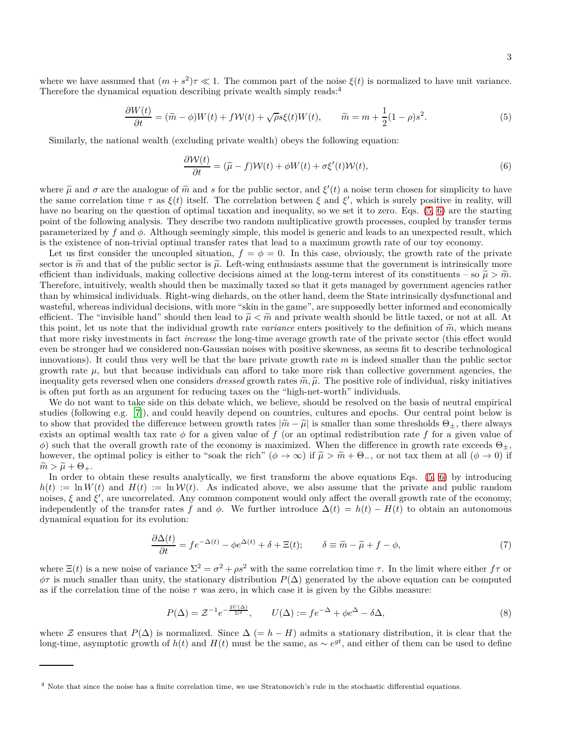where we have assumed that  $(m + s^2)\tau \ll 1$ . The common part of the noise  $\xi(t)$  is normalized to have unit variance. Therefore the dynamical equation describing private wealth simply reads:<sup>4</sup>

<span id="page-2-0"></span>
$$
\frac{\partial W(t)}{\partial t} = (\tilde{m} - \phi)W(t) + fW(t) + \sqrt{\rho}s\xi(t)W(t), \qquad \tilde{m} = m + \frac{1}{2}(1 - \rho)s^2.
$$
\n(5)

Similarly, the national wealth (excluding private wealth) obeys the following equation:

<span id="page-2-1"></span>
$$
\frac{\partial W(t)}{\partial t} = (\tilde{\mu} - f)W(t) + \phi W(t) + \sigma \xi'(t)W(t),\tag{6}
$$

where  $\tilde{\mu}$  and  $\sigma$  are the analogue of  $\tilde{m}$  and *s* for the public sector, and  $\xi'(t)$  a noise term chosen for simplicity to have<br>the same completion time  $\sigma$  as  $\xi(t)$  itself. The completion between  $\xi$  and  $\x$ the same correlation time  $\tau$  as  $\xi(t)$  itself. The correlation between  $\xi$  and  $\xi'$ , which is surely positive in reality, will have no bearing on the question of optimal taxation and inequality, so we set it to zero. Eqs.  $(5, 6)$  $(5, 6)$  are the starting point of the following analysis. They describe two random multiplicative growth processes, coupled by transfer terms parameterized by *f* and *φ*. Although seemingly simple, this model is generic and leads to an unexpected result, which is the existence of non-trivial optimal transfer rates that lead to a maximum growth rate of our toy economy.

Let us first consider the uncoupled situation,  $f = \phi = 0$ . In this case, obviously, the growth rate of the private sector is  $\tilde{m}$  and that of the public sector is  $\tilde{\mu}$ . Left-wing enthusiasts assume that the government is intrinsically more efficient than individuals, making collective decisions aimed at the long-term interest of its constituents – so  $\tilde{\mu} > \tilde{m}$ . Therefore, intuitively, wealth should then be maximally taxed so that it gets managed by government agencies rather than by whimsical individuals. Right-wing diehards, on the other hand, deem the State intrinsically dysfunctional and wasteful, whereas individual decisions, with more "skin in the game", are supposedly better informed and economically efficient. The "invisible hand" should then lead to  $\tilde{\mu} < \tilde{m}$  and private wealth should be little taxed, or not at all. At this point, let us note that the individual growth rate *variance* enters positively to the definition of  $\tilde{m}$ , which means that more risky investments in fact *increase* the long-time average growth rate of the private sector (this effect would even be stronger had we considered non-Gaussian noises with positive skewness, as seems fit to describe technological innovations). It could thus very well be that the bare private growth rate *m* is indeed smaller than the public sector growth rate  $\mu$ , but that because individuals can afford to take more risk than collective government agencies, the inequality gets reversed when one considers *dressed* growth rates  $\tilde{m}, \tilde{\mu}$ . The positive role of individual, risky initiatives is often put forth as an argument for reducing taxes on the "high-net-worth" individuals.

We do not want to take side on this debate which, we believe, should be resolved on the basis of neutral empirical studies (following e.g. [\[7\]](#page-7-5)), and could heavily depend on countries, cultures and epochs. Our central point below is to show that provided the difference between growth rates  $|\tilde{m}-\tilde{\mu}|$  is smaller than some thresholds  $\Theta_{\pm}$ , there always exists an optimal wealth tax rate  $\phi$  for a given value of *f* (or an optimal redistribution rate *f* for a given value of  $φ$ ) such that the overall growth rate of the economy is maximized. When the difference in growth rate exceeds  $Θ<sub>±</sub>$ , however, the optimal policy is either to "soak the rich" ( $\phi \to \infty$ ) if  $\tilde{\mu} > \tilde{m} + \Theta_{-}$ , or not tax them at all ( $\phi \to 0$ ) if  $\widetilde{m} > \widetilde{\mu} + \Theta_+.$ 

In order to obtain these results analytically, we first transform the above equations Eqs.  $(5, 6)$  $(5, 6)$  by introducing  $h(t) := \ln W(t)$  and  $H(t) := \ln \mathcal{W}(t)$ . As indicated above, we also assume that the private and public random noises,  $\xi$  and  $\xi'$ , are uncorrelated. Any common component would only affect the overall growth rate of the economy, independently of the transfer rates f and  $\phi$ . We further introduce  $\Delta(t) = h(t) - H(t)$  to obtain an autonomous dynamical equation for its evolution:

$$
\frac{\partial \Delta(t)}{\partial t} = f e^{-\Delta(t)} - \phi e^{\Delta(t)} + \delta + \Xi(t); \qquad \delta \equiv \tilde{m} - \tilde{\mu} + f - \phi,
$$
\n(7)

where  $\Xi(t)$  is a new noise of variance  $\Sigma^2 = \sigma^2 + \rho s^2$  with the same correlation time  $\tau$ . In the limit where either  $f\tau$  or  $\phi\tau$  is much smaller than unity, the stationary distribution  $P(\Delta)$  generated by the above equation can be computed as if the correlation time of the noise  $\tau$  was zero, in which case it is given by the Gibbs measure:

$$
P(\Delta) = \mathcal{Z}^{-1} e^{-\frac{2U(\Delta)}{\Sigma^2}}, \qquad U(\Delta) := f e^{-\Delta} + \phi e^{\Delta} - \delta \Delta,
$$
\n<sup>(8)</sup>

where Z ensures that  $P(\Delta)$  is normalized. Since  $\Delta (= h - H)$  admits a stationary distribution, it is clear that the long-time, asymptotic growth of  $h(t)$  and  $H(t)$  must be the same, as  $\sim e^{gt}$ , and either of them can be used to define

<sup>4</sup> Note that since the noise has a finite correlation time, we use Stratonovich's rule in the stochastic differential equations.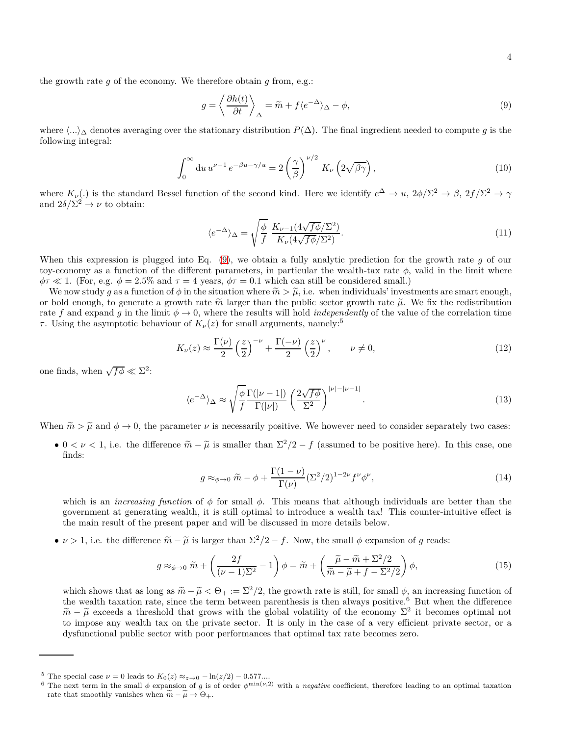the growth rate *g* of the economy. We therefore obtain *g* from, e.g.:

<span id="page-3-0"></span>
$$
g = \left\langle \frac{\partial h(t)}{\partial t} \right\rangle_{\Delta} = \tilde{m} + f \langle e^{-\Delta} \rangle_{\Delta} - \phi, \tag{9}
$$

where  $\langle ...\rangle_{\Delta}$  denotes averaging over the stationary distribution *P*( $\Delta$ ). The final ingredient needed to compute *g* is the following integral:

$$
\int_0^\infty du \, u^{\nu - 1} \, e^{-\beta u - \gamma/u} = 2 \left(\frac{\gamma}{\beta}\right)^{\nu/2} \, K_\nu \left(2\sqrt{\beta\gamma}\right),\tag{10}
$$

where  $K_{\nu}$ (*.*) is the standard Bessel function of the second kind. Here we identify  $e^{\Delta} \to u$ ,  $2\phi/\Sigma^2 \to \beta$ ,  $2f/\Sigma^2 \to \gamma$ and  $2\delta/\Sigma^2 \to \nu$  to obtain:

$$
\langle e^{-\Delta} \rangle_{\Delta} = \sqrt{\frac{\phi}{f}} \frac{K_{\nu-1} (4\sqrt{f\phi}/\Sigma^2)}{K_{\nu} (4\sqrt{f\phi}/\Sigma^2)}.
$$
\n(11)

When this expression is plugged into Eq. [\(9\)](#page-3-0), we obtain a fully analytic prediction for the growth rate *g* of our toy-economy as a function of the different parameters, in particular the wealth-tax rate *φ*, valid in the limit where  $\phi \tau \ll 1$ . (For, e.g.  $\phi = 2.5\%$  and  $\tau = 4$  years,  $\phi \tau = 0.1$  which can still be considered small.)

We now study g as a function of  $\phi$  in the situation where  $\tilde{m} > \tilde{\mu}$ , i.e. when individuals' investments are smart enough, or bold enough, to generate a growth rate  $\tilde{m}$  larger than the public sector growth rate  $\tilde{\mu}$ . We fix the redistribution rate f and expand g in the limit  $\phi \to 0$ , where the results will hold *independently* of the value of the correlation time *τ*. Using the asymptotic behaviour of  $K_{\nu}(z)$  for small arguments, namely:<sup>5</sup>

<span id="page-3-2"></span>
$$
K_{\nu}(z) \approx \frac{\Gamma(\nu)}{2} \left(\frac{z}{2}\right)^{-\nu} + \frac{\Gamma(-\nu)}{2} \left(\frac{z}{2}\right)^{\nu}, \qquad \nu \neq 0,
$$
\n(12)

one finds, when  $\sqrt{f\phi} \ll \Sigma^2$ :

$$
\langle e^{-\Delta} \rangle_{\Delta} \approx \sqrt{\frac{\phi}{f}} \frac{\Gamma(|\nu - 1|)}{\Gamma(|\nu|)} \left(\frac{2\sqrt{f\phi}}{\Sigma^2}\right)^{|\nu| - |\nu - 1|}.\tag{13}
$$

When  $\tilde{m} > \tilde{\mu}$  and  $\phi \to 0$ , the parameter  $\nu$  is necessarily positive. We however need to consider separately two cases:

•  $0 < \nu < 1$ , i.e. the difference  $\widetilde{m} - \widetilde{\mu}$  is smaller than  $\Sigma^2/2 - f$  (assumed to be positive here). In this case, one finds:

<span id="page-3-1"></span>
$$
g \approx_{\phi \to 0} \tilde{m} - \phi + \frac{\Gamma(1-\nu)}{\Gamma(\nu)} (\Sigma^2/2)^{1-2\nu} f^{\nu} \phi^{\nu}, \tag{14}
$$

which is an *increasing function* of  $\phi$  for small  $\phi$ . This means that although individuals are better than the government at generating wealth, it is still optimal to introduce a wealth tax! This counter-intuitive effect is the main result of the present paper and will be discussed in more details below.

• *ν* > 1, i.e. the difference  $\widetilde{m} - \widetilde{\mu}$  is larger than  $\Sigma^2/2 - f$ . Now, the small  $\phi$  expansion of *g* reads:

$$
g \approx_{\phi \to 0} \widetilde{m} + \left(\frac{2f}{(\nu - 1)\Sigma^2} - 1\right)\phi = \widetilde{m} + \left(\frac{\widetilde{\mu} - \widetilde{m} + \Sigma^2/2}{\widetilde{m} - \widetilde{\mu} + f - \Sigma^2/2}\right)\phi,
$$
\n(15)

which shows that as long as  $\widetilde{m} - \widetilde{\mu} < \Theta_+ := \Sigma^2/2$ , the growth rate is still, for small  $\phi$ , an increasing function of the wealth taxation rate, since the term between parenthesis is then always positive.<sup>6</sup> But when the difference  $\widetilde{m} - \widetilde{\mu}$  exceeds a threshold that grows with the global volatility of the economy  $\Sigma^2$  it becomes optimal not<br>the improvements that we are the printing endown. It is only in the economic figure of electron and to impose any wealth tax on the private sector. It is only in the case of a very efficient private sector, or a dysfunctional public sector with poor performances that optimal tax rate becomes zero.

<sup>&</sup>lt;sup>5</sup> The special case  $\nu = 0$  leads to  $K_0(z) \approx_{z \to 0} -\ln(z/2) - 0.577...$ 

<sup>&</sup>lt;sup>6</sup> The next term in the small  $\phi$  expansion of *g* is of order  $\phi^{\min(\nu,2)}$  with a *negative* coefficient, therefore leading to an optimal taxation rate that smoothly vanishes when  $\widetilde{m} - \widetilde{\mu} \to \Theta_+$ .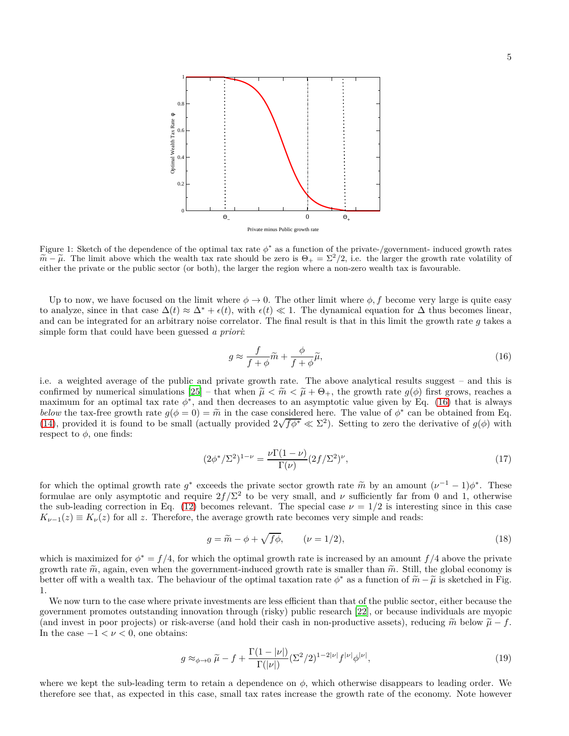

Figure 1: Sketch of the dependence of the optimal tax rate  $\phi^*$  as a function of the private-/government- induced growth rates  $\widetilde{m} - \widetilde{\mu}$ . The limit above which the wealth tax rate should be zero is  $\Theta_{+} = \Sigma^{2}/2$ , i.e. the larger the growth rate volatility of either the private or the public sector (or both), the larger the region where a either the private or the public sector (or both), the larger the region where a non-zero wealth tax is favourable.

Up to now, we have focused on the limit where  $\phi \to 0$ . The other limit where  $\phi$ , f become very large is quite easy to analyze, since in that case  $\Delta(t) \approx \Delta^* + \epsilon(t)$ , with  $\epsilon(t) \ll 1$ . The dynamical equation for  $\Delta$  thus becomes linear, and can be integrated for an arbitrary noise correlator. The final result is that in this limit the growth rate *g* takes a simple form that could have been guessed *a priori*:

<span id="page-4-0"></span>
$$
g \approx \frac{f}{f + \phi} \widetilde{m} + \frac{\phi}{f + \phi} \widetilde{\mu},\tag{16}
$$

i.e. a weighted average of the public and private growth rate. The above analytical results suggest – and this is confirmed by numerical simulations  $[25]$  – that when  $\tilde{\mu} < \tilde{m} < \tilde{\mu} + \Theta_{+}$ , the growth rate  $g(\phi)$  first grows, reaches a maximum for an optimal tax rate  $\phi^*$ , and then decreases to an asymptotic value given by Eq. [\(16\)](#page-4-0) that is always *below* the tax-free growth rate  $g(\phi = 0) = \tilde{m}$  in the case considered here. The value of  $\phi^*$  can be obtained from Eq. (4) provided it is found to be small (actually provided  $2\sqrt{f} + \sqrt{g}$ ). Setting to some the desi [\(14\)](#page-3-1), provided it is found to be small (actually provided  $2\sqrt{f\phi^*} \ll \Sigma^2$ ). Setting to zero the derivative of  $g(\phi)$  with respect to  $\phi$ , one finds:

$$
(2\phi^*/\Sigma^2)^{1-\nu} = \frac{\nu \Gamma(1-\nu)}{\Gamma(\nu)} (2f/\Sigma^2)^{\nu},\tag{17}
$$

for which the optimal growth rate  $g^*$  exceeds the private sector growth rate  $\tilde{m}$  by an amount  $(\nu^{-1} - 1)\phi^*$ . These formulae are only asymptotic and require  $2f/\Sigma^2$  to be very small, and  $\nu$  sufficiently far from 0 and 1, otherwise the sub-leading correction in Eq. [\(12\)](#page-3-2) becomes relevant. The special case  $\nu = 1/2$  is interesting since in this case  $K_{\nu-1}(z) \equiv K_{\nu}(z)$  for all *z*. Therefore, the average growth rate becomes very simple and reads:

$$
g = \widetilde{m} - \phi + \sqrt{f\phi}, \qquad (\nu = 1/2), \tag{18}
$$

which is maximized for  $\phi^* = f/4$ , for which the optimal growth rate is increased by an amount  $f/4$  above the private growth rate  $\tilde{m}$ , again, even when the government-induced growth rate is smaller than  $\tilde{m}$ . Still, the global economy is better off with a wealth tax. The behaviour of the optimal taxation rate  $\phi^*$  as a function of  $\widetilde{m} - \widetilde{\mu}$  is sketched in Fig. 1.

We now turn to the case where private investments are less efficient than that of the public sector, either because the government promotes outstanding innovation through (risky) public research [\[22\]](#page-7-14), or because individuals are myopic (and invest in poor projects) or risk-averse (and hold their cash in non-productive assets), reducing  $\tilde{m}$  below  $\tilde{\mu} - f$ . In the case  $-1 < \nu < 0$ , one obtains:

$$
g \approx_{\phi \to 0} \widetilde{\mu} - f + \frac{\Gamma(1 - |\nu|)}{\Gamma(|\nu|)} (\Sigma^2 / 2)^{1 - 2|\nu|} f^{|\nu|} \phi^{|\nu|},\tag{19}
$$

where we kept the sub-leading term to retain a dependence on  $\phi$ , which otherwise disappears to leading order. We therefore see that, as expected in this case, small tax rates increase the growth rate of the economy. Note however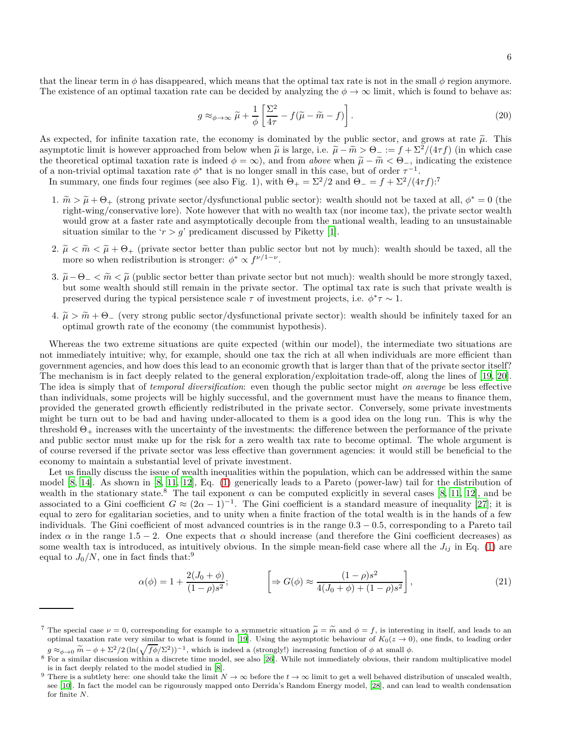that the linear term in  $\phi$  has disappeared, which means that the optimal tax rate is not in the small  $\phi$  region anymore. The existence of an optimal taxation rate can be decided by analyzing the  $\phi \to \infty$  limit, which is found to behave as:

$$
g \approx_{\phi \to \infty} \tilde{\mu} + \frac{1}{\phi} \left[ \frac{\Sigma^2}{4\tau} - f(\tilde{\mu} - \tilde{m} - f) \right]. \tag{20}
$$

As expected, for infinite taxation rate, the economy is dominated by the public sector, and grows at rate  $\tilde{\mu}$ . This asymptotic limit is however approached from below when  $\tilde{\mu}$  is large, i.e.  $\tilde{\mu} - \tilde{m} > \Theta_- := f + \Sigma^2/(4\tau f)$  (in which case the theoretical optimal taxation rate is indeed  $\phi = \infty$ ), and from *above* when  $\tilde{\mu} - \tilde{m} < \Theta_{-}$ , indicating the existence of a non-trivial optimal taxation rate  $\phi^*$  that is no longer small in this case, but of order  $\tau^{-1}$ .

In summary, one finds four regimes (see also Fig. 1), with  $\Theta_+ = \Sigma^2/2$  and  $\Theta_- = f + \Sigma^2/(4\tau f)$ :<sup>7</sup>

- 1.  $\widetilde{m} > \widetilde{\mu} + \Theta_+$  (strong private sector/dysfunctional public sector): wealth should not be taxed at all,  $\phi^* = 0$  (the private consequenting lang). Note however that with no wealth tax (per income tax), the priv right-wing/conservative lore). Note however that with no wealth tax (nor income tax), the private sector wealth would grow at a faster rate and asymptotically decouple from the national wealth, leading to an unsustainable situation similar to the ' $r > g$ ' predicament discussed by Piketty [\[1\]](#page-7-0).
- 2.  $\tilde{\mu} < \tilde{m} < \tilde{\mu} + \Theta_+$  (private sector better than public sector but not by much): wealth should be taxed, all the more so when redistribution is stronger:  $\phi^* \propto f^{\nu/1-\nu}$ .
- 3.  $\tilde{\mu} \Theta_{-} < \tilde{m} < \tilde{\mu}$  (public sector better than private sector but not much): wealth should be more strongly taxed, but some wealth should still remain in the private sector. The optimal tax rate is such that private wealth is preserved during the typical persistence scale  $\tau$  of investment projects, i.e.  $\phi^*\tau \sim 1$ .
- $4. \tilde{\mu} > \tilde{m} + \Theta_{-}$  (very strong public sector/dysfunctional private sector): wealth should be infinitely taxed for an optimal growth rate of the economy (the communist hypothesis).

Whereas the two extreme situations are quite expected (within our model), the intermediate two situations are not immediately intuitive; why, for example, should one tax the rich at all when individuals are more efficient than government agencies, and how does this lead to an economic growth that is larger than that of the private sector itself? The mechanism is in fact deeply related to the general exploration/exploitation trade-off, along the lines of [\[19,](#page-7-11) [20](#page-7-12)]. The idea is simply that of *temporal diversification*: even though the public sector might *on average* be less effective than individuals, some projects will be highly successful, and the government must have the means to finance them, provided the generated growth efficiently redistributed in the private sector. Conversely, some private investments might be turn out to be bad and having under-allocated to them is a good idea on the long run. This is why the threshold  $\Theta_+$  increases with the uncertainty of the investments: the difference between the performance of the private and public sector must make up for the risk for a zero wealth tax rate to become optimal. The whole argument is of course reversed if the private sector was less effective than government agencies: it would still be beneficial to the economy to maintain a substantial level of private investment.

Let us finally discuss the issue of wealth inequalities within the population, which can be addressed within the same model [\[8,](#page-7-6) [14\]](#page-7-18). As shown in [\[8,](#page-7-6) [11,](#page-7-19) [12\]](#page-7-20), Eq. [\(1\)](#page-1-0) generically leads to a Pareto (power-law) tail for the distribution of wealth in the stationary state.<sup>8</sup> The tail exponent  $\alpha$  can be computed explicitly in several cases [\[8,](#page-7-6) [11](#page-7-19), [12\]](#page-7-20), and be associated to a Gini coefficient  $G \approx (2\alpha - 1)^{-1}$ . The Gini coefficient is a standard measure of inequality [\[27\]](#page-7-21); it is equal to zero for egalitarian societies, and to unity when a finite fraction of the total wealth is in the hands of a few individuals. The Gini coefficient of most advanced countries is in the range 0*.*3 − 0*.*5, corresponding to a Pareto tail index  $\alpha$  in the range 1.5 – 2. One expects that  $\alpha$  should increase (and therefore the Gini coefficient decreases) as some wealth tax is introduced, as intuitively obvious. In the simple mean-field case where all the  $J_{ij}$  in Eq. [\(1\)](#page-1-0) are equal to  $J_0/N$ , one in fact finds that:<sup>9</sup>

$$
\alpha(\phi) = 1 + \frac{2(J_0 + \phi)}{(1 - \rho)s^2}; \qquad \left[ \Rightarrow G(\phi) \approx \frac{(1 - \rho)s^2}{4(J_0 + \phi) + (1 - \rho)s^2} \right],
$$
\n(21)

<sup>&</sup>lt;sup>7</sup> The special case  $\nu = 0$ , corresponding for example to a symmetric situation  $\tilde{\mu} = \tilde{m}$  and  $\phi = f$ , is interesting in itself, and leads to an optimal taxation rate very similar to what is found in [\[19](#page-7-11)]. Using the asymptotic behaviour of  $K_0(z \to 0)$ , one finds, to leading order  $g \approx_{\phi \to 0} \widetilde{m} - \phi + \Sigma^2/2 \left( \ln(\sqrt{f\phi}/\Sigma^2) \right)^{-1}$ , which is indeed a (strongly!) increasing function of  $\phi$  at small  $\phi$ .

<sup>8</sup> For a similar discussion within a discrete time model, see also [\[26\]](#page-7-22). While not immediately obvious, their random multiplicative model is in fact deeply related to the model studied in [\[8](#page-7-6)].

<sup>&</sup>lt;sup>9</sup> There is a subtlety here: one should take the limit  $N \to \infty$  before the  $t \to \infty$  limit to get a well behaved distribution of unscaled wealth, see [\[10](#page-7-23)]. In fact the model can be rigourously mapped onto Derrida's Random Energy model, [\[28\]](#page-7-24), and can lead to wealth condensation for finite *N*.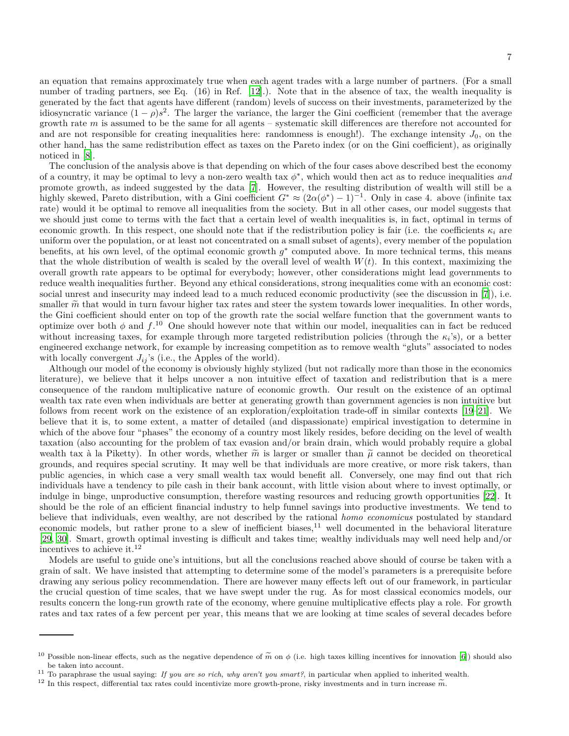an equation that remains approximately true when each agent trades with a large number of partners. (For a small number of trading partners, see Eq. (16) in Ref. [\[12\]](#page-7-20).). Note that in the absence of tax, the wealth inequality is generated by the fact that agents have different (random) levels of success on their investments, parameterized by the idiosyncratic variance  $(1 - \rho)s^2$ . The larger the variance, the larger the Gini coefficient (remember that the average growth rate *m* is assumed to be the same for all agents – systematic skill differences are therefore not accounted for and are not responsible for creating inequalities here: randomness is enough!). The exchange intensity  $J_0$ , on the other hand, has the same redistribution effect as taxes on the Pareto index (or on the Gini coefficient), as originally noticed in [\[8\]](#page-7-6).

The conclusion of the analysis above is that depending on which of the four cases above described best the economy of a country, it may be optimal to levy a non-zero wealth tax *φ* ∗ , which would then act as to reduce inequalities *and* promote growth, as indeed suggested by the data [\[7](#page-7-5)]. However, the resulting distribution of wealth will still be a highly skewed, Pareto distribution, with a Gini coefficient  $G^* \approx (2\alpha(\phi^*)-1)^{-1}$ . Only in case 4. above (infinite tax rate) would it be optimal to remove all inequalities from the society. But in all other cases, our model suggests that we should just come to terms with the fact that a certain level of wealth inequalities is, in fact, optimal in terms of economic growth. In this respect, one should note that if the redistribution policy is fair (i.e. the coefficients  $\kappa_i$  are uniform over the population, or at least not concentrated on a small subset of agents), every member of the population benefits, at his own level, of the optimal economic growth *g* ∗ computed above. In more technical terms, this means that the whole distribution of wealth is scaled by the overall level of wealth  $W(t)$ . In this context, maximizing the overall growth rate appears to be optimal for everybody; however, other considerations might lead governments to reduce wealth inequalities further. Beyond any ethical considerations, strong inequalities come with an economic cost: social unrest and insecurity may indeed lead to a much reduced economic productivity (see the discussion in [\[7](#page-7-5)]), i.e. smaller  $\tilde{m}$  that would in turn favour higher tax rates and steer the system towards lower inequalities. In other words, the Gini coefficient should enter on top of the growth rate the social welfare function that the government wants to optimize over both  $\phi$  and  $f^{10}$  One should however note that within our model, inequalities can in fact be reduced without increasing taxes, for example through more targeted redistribution policies (through the *κ<sup>i</sup>* 's), or a better engineered exchange network, for example by increasing competition as to remove wealth "gluts" associated to nodes with locally convergent  $J_{ij}$ 's (i.e., the Apples of the world).

Although our model of the economy is obviously highly stylized (but not radically more than those in the economics literature), we believe that it helps uncover a non intuitive effect of taxation and redistribution that is a mere consequence of the random multiplicative nature of economic growth. Our result on the existence of an optimal wealth tax rate even when individuals are better at generating growth than government agencies is non intuitive but follows from recent work on the existence of an exploration/exploitation trade-off in similar contexts [\[19](#page-7-11)[–21\]](#page-7-13). We believe that it is, to some extent, a matter of detailed (and dispassionate) empirical investigation to determine in which of the above four "phases" the economy of a country most likely resides, before deciding on the level of wealth taxation (also accounting for the problem of tax evasion and/or brain drain, which would probably require a global wealth tax à la Piketty). In other words, whether  $\tilde{m}$  is larger or smaller than  $\tilde{\mu}$  cannot be decided on theoretical grounds, and requires special scrutiny. It may well be that individuals are more creative, or more risk takers, than public agencies, in which case a very small wealth tax would benefit all. Conversely, one may find out that rich individuals have a tendency to pile cash in their bank account, with little vision about where to invest optimally, or indulge in binge, unproductive consumption, therefore wasting resources and reducing growth opportunities [\[22\]](#page-7-14). It should be the role of an efficient financial industry to help funnel savings into productive investments. We tend to believe that individuals, even wealthy, are not described by the rational *homo economicus* postulated by standard economic models, but rather prone to a slew of inefficient biases,<sup>11</sup> well documented in the behavioral literature [\[29,](#page-8-0) [30\]](#page-8-1). Smart, growth optimal investing is difficult and takes time; wealthy individuals may well need help and/or incentives to achieve it.<sup>12</sup>

Models are useful to guide one's intuitions, but all the conclusions reached above should of course be taken with a grain of salt. We have insisted that attempting to determine some of the model's parameters is a prerequisite before drawing any serious policy recommendation. There are however many effects left out of our framework, in particular the crucial question of time scales, that we have swept under the rug. As for most classical economics models, our results concern the long-run growth rate of the economy, where genuine multiplicative effects play a role. For growth rates and tax rates of a few percent per year, this means that we are looking at time scales of several decades before

<sup>&</sup>lt;sup>10</sup> Possible non-linear effects, such as the negative dependence of  $\tilde{m}$  on  $\phi$  (i.e. high taxes killing incentives for innovation [\[6\]](#page-7-4)) should also be taken into account.

<sup>11</sup> To paraphrase the usual saying: *If you are so rich, why aren't you smart?*, in particular when applied to inherited wealth.

<sup>&</sup>lt;sup>12</sup> In this respect, differential tax rates could incentivize more growth-prone, risky investments and in turn increase  $\tilde{m}$ .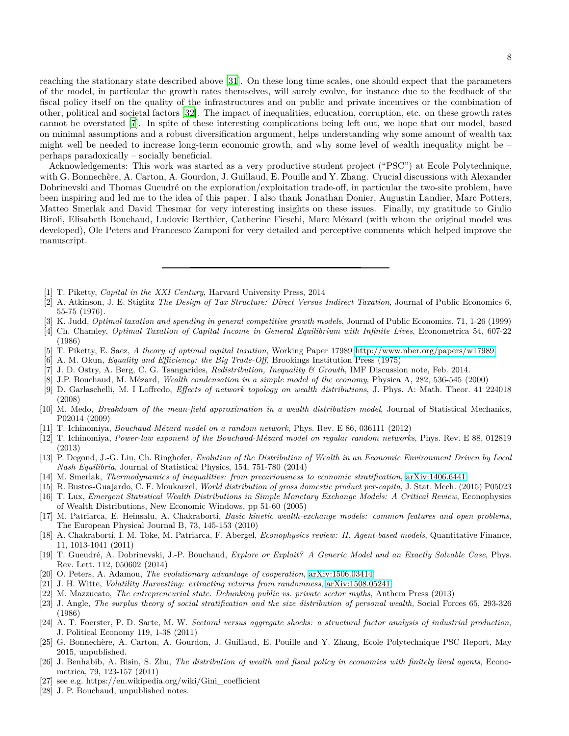reaching the stationary state described above [\[31\]](#page-8-2). On these long time scales, one should expect that the parameters of the model, in particular the growth rates themselves, will surely evolve, for instance due to the feedback of the fiscal policy itself on the quality of the infrastructures and on public and private incentives or the combination of other, political and societal factors [\[32](#page-8-3)]. The impact of inequalities, education, corruption, etc. on these growth rates cannot be overstated [\[7](#page-7-5)]. In spite of these interesting complications being left out, we hope that our model, based on minimal assumptions and a robust diversification argument, helps understanding why some amount of wealth tax might well be needed to increase long-term economic growth, and why some level of wealth inequality might be – perhaps paradoxically – socially beneficial.

Acknowledgements: This work was started as a very productive student project ("PSC") at Ecole Polytechnique, with G. Bonnechère, A. Carton, A. Gourdon, J. Guillaud, E. Pouille and Y. Zhang. Crucial discussions with Alexander Dobrinevski and Thomas Gueudré on the exploration/exploitation trade-off, in particular the two-site problem, have been inspiring and led me to the idea of this paper. I also thank Jonathan Donier, Augustin Landier, Marc Potters, Matteo Smerlak and David Thesmar for very interesting insights on these issues. Finally, my gratitude to Giulio Biroli, Elisabeth Bouchaud, Ludovic Berthier, Catherine Fieschi, Marc Mézard (with whom the original model was developed), Ole Peters and Francesco Zamponi for very detailed and perceptive comments which helped improve the manuscript.

- <span id="page-7-0"></span>[1] T. Piketty, *Capital in the XXI Century*, Harvard University Press, 2014
- <span id="page-7-1"></span>[2] A. Atkinson, J. E. Stiglitz *The Design of Tax Structure: Direct Versus Indirect Taxation*, Journal of Public Economics 6, 55-75 (1976).
- [3] K. Judd, *Optimal taxation and spending in general competitive growth models*, Journal of Public Economics, 71, 1-26 (1999)
- <span id="page-7-2"></span>[4] Ch. Chamley, *Optimal Taxation of Capital Income in General Equilibrium with Infinite Lives*, Econometrica 54, 607-22 (1986)
- <span id="page-7-3"></span>[5] T. Piketty, E. Saez, *A theory of optimal capital taxation*, Working Paper 17989<http://www.nber.org/papers/w17989>
- <span id="page-7-4"></span>[6] A. M. Okun, *Equality and Efficiency: the Big Trade-Off*, Brookings Institution Press (1975)
- <span id="page-7-5"></span>[7] J. D. Ostry, A. Berg, C. G. Tsangarides, *Redistribution, Inequality & Growth*, IMF Discussion note, Feb. 2014.
- <span id="page-7-6"></span>[8] J.P. Bouchaud, M. Mézard, *Wealth condensation in a simple model of the economy*, Physica A, 282, 536-545 (2000)
- <span id="page-7-7"></span>[9] D. Garlaschelli, M. I Loffredo, *Effects of network topology on wealth distributions*, J. Phys. A: Math. Theor. 41 224018 (2008)
- <span id="page-7-23"></span>[10] M. Medo, *Breakdown of the mean-field approximation in a wealth distribution model*, Journal of Statistical Mechanics, P02014 (2009)
- <span id="page-7-19"></span>[11] T. Ichinomiya, *Bouchaud-Mézard model on a random network*, Phys. Rev. E 86, 036111 (2012)
- <span id="page-7-20"></span>[12] T. Ichinomiya, *Power-law exponent of the Bouchaud-Mézard model on regular random networks*, Phys. Rev. E 88, 012819 (2013)
- [13] P. Degond, J.-G. Liu, Ch. Ringhofer, *Evolution of the Distribution of Wealth in an Economic Environment Driven by Local Nash Equilibria*, Journal of Statistical Physics, 154, 751-780 (2014)
- <span id="page-7-18"></span>[14] M. Smerlak, *Thermodynamics of inequalities: from precariousness to economic stratification*, [arXiv:1406.6441](http://arxiv.org/abs/1406.6441)
- <span id="page-7-8"></span>[15] R. Bustos-Guajardo, C. F. Moukarzel, *World distribution of gross domestic product per-capita*, J. Stat. Mech. (2015) P05023 [16] T. Lux, *Emergent Statistical Wealth Distributions in Simple Monetary Exchange Models: A Critical Review*, Econophysics
- <span id="page-7-9"></span>of Wealth Distributions, New Economic Windows, pp 51-60 (2005)
- [17] M. Patriarca, E. Heinsalu, A. Chakraborti, *Basic kinetic wealth-exchange models: common features and open problems*, The European Physical Journal B, 73, 145-153 (2010)
- <span id="page-7-10"></span>[18] A. Chakraborti, I. M. Toke, M. Patriarca, F. Abergel, *Econophysics review: II. Agent-based models*, Quantitative Finance, 11, 1013-1041 (2011)
- <span id="page-7-11"></span>[19] T. Gueudré, A. Dobrinevski, J.-P. Bouchaud, *Explore or Exploit? A Generic Model and an Exactly Solvable Case*, Phys. Rev. Lett. 112, 050602 (2014)
- <span id="page-7-12"></span>[20] O. Peters, A. Adamou, *The evolutionary advantage of cooperation*, [arXiv:1506.03414](http://arxiv.org/abs/1506.03414)
- <span id="page-7-13"></span>[21] J. H. Witte, *Volatility Harvesting: extracting returns from randomness*, [arXiv:1508.05241](http://arxiv.org/abs/1508.05241)
- <span id="page-7-14"></span>[22] M. Mazzucato, *The entrepreneurial state. Debunking public vs. private sector myths*, Anthem Press (2013)
- <span id="page-7-15"></span>[23] J. Angle, *The surplus theory of social stratification and the size distribution of personal wealth*, Social Forces 65, 293-326 (1986)
- <span id="page-7-16"></span>[24] A. T. Foerster, P. D. Sarte, M. W. *Sectoral versus aggregate shocks: a structural factor analysis of industrial production*, J. Political Economy 119, 1-38 (2011)
- <span id="page-7-17"></span>[25] G. Bonnechère, A. Carton, A. Gourdon, J. Guillaud, E. Pouille and Y. Zhang, Ecole Polytechnique PSC Report, May 2015, unpublished.
- <span id="page-7-22"></span>[26] J. Benhabib, A. Bisin, S. Zhu, *The distribution of wealth and fiscal policy in economies with finitely lived agents*, Econometrica, 79, 123-157 (2011)
- <span id="page-7-21"></span>[27] see e.g. https://en.wikipedia.org/wiki/Gini\_coefficient
- <span id="page-7-24"></span>[28] J. P. Bouchaud, unpublished notes.